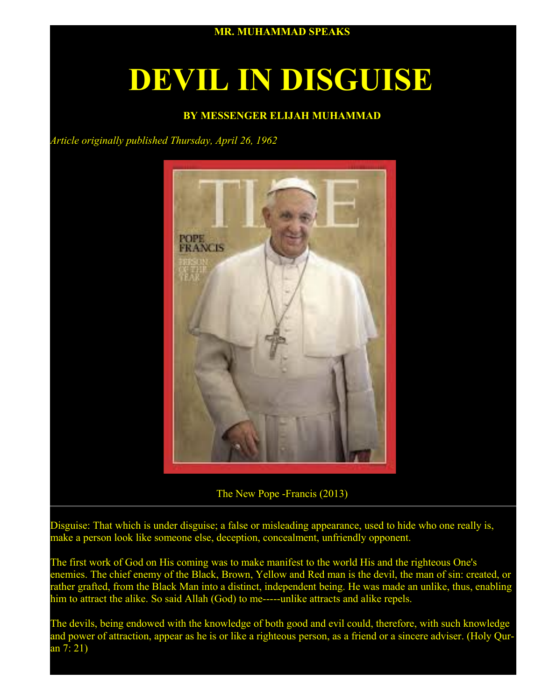

# **DEVIL IN DISGUISE**

## **BY MESSENGER ELIJAH MUHAMMAD**

*Article originally published Thursday, April 26, 1962*



The New Pope -Francis (2013)

Disguise: That which is under disguise; a false or misleading appearance, used to hide who one really is, make a person look like someone else, deception, concealment, unfriendly opponent.

The first work of God on His coming was to make manifest to the world His and the righteous One's enemies. The chief enemy of the Black, Brown, Yellow and Red man is the devil, the man of sin: created, or rather grafted, from the Black Man into a distinct, independent being. He was made an unlike, thus, enabling him to attract the alike. So said Allah (God) to me-----unlike attracts and alike repels.

The devils, being endowed with the knowledge of both good and evil could, therefore, with such knowledge and power of attraction, appear as he is or like a righteous person, as a friend or a sincere adviser. (Holy Quran 7: 21)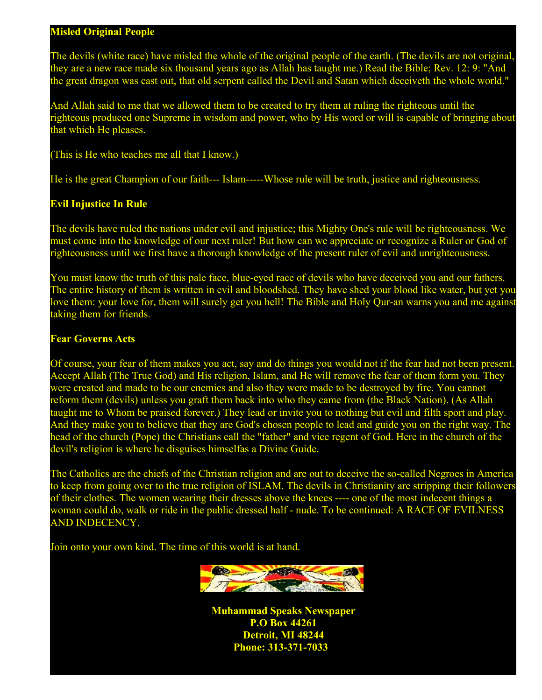#### **Misled Original People**

The devils (white race) have misled the whole of the original people of the earth. (The devils are not original, they are a new race made six thousand years ago as Allah has taught me.) Read the Bible; Rev. 12: 9: "And the great dragon was cast out, that old serpent called the Devil and Satan which deceiveth the whole world."

And Allah said to me that we allowed them to be created to try them at ruling the righteous until the righteous produced one Supreme in wisdom and power, who by His word or will is capable of bringing about that which He pleases.

(This is He who teaches me all that I know.)

He is the great Champion of our faith--- Islam-----Whose rule will be truth, justice and righteousness.

### **Evil Injustice In Rule**

The devils have ruled the nations under evil and injustice; this Mighty One's rule will be righteousness. We must come into the knowledge of our next ruler! But how can we appreciate or recognize a Ruler or God of righteousness until we first have a thorough knowledge of the present ruler of evil and unrighteousness.

You must know the truth of this pale face, blue-eyed race of devils who have deceived you and our fathers. The entire history of them is written in evil and bloodshed. They have shed your blood like water, but yet you love them: your love for, them will surely get you hell! The Bible and Holy Qur-an warns you and me against taking them for friends.

#### **Fear Governs Acts**

Of course, your fear of them makes you act, say and do things you would not if the fear had not been present. Accept Allah (The True God) and His religion, Islam, and He will remove the fear of them form you. They were created and made to be our enemies and also they were made to be destroyed by fire. You cannot reform them (devils) unless you graft them back into who they came from (the Black Nation). (As Allah taught me to Whom be praised forever.) They lead or invite you to nothing but evil and filth sport and play. And they make you to believe that they are God's chosen people to lead and guide you on the right way. The head of the church (Pope) the Christians call the "father" and vice regent of God. Here in the church of the devil's religion is where he disguises himselfas a Divine Guide.

The Catholics are the chiefs of the Christian religion and are out to deceive the so-called Negroes in America to keep from going over to the true religion of ISLAM. The devils in Christianity are stripping their followers of their clothes. The women wearing their dresses above the knees ---- one of the most indecent things a woman could do, walk or ride in the public dressed half - nude. To be continued: A RACE OF EVILNESS AND INDECENCY.

Join onto your own kind. The time of this world is at hand.



**Muhammad Speaks Newspaper P.O Box 44261 Detroit, MI 48244 Phone: 313-371-7033**